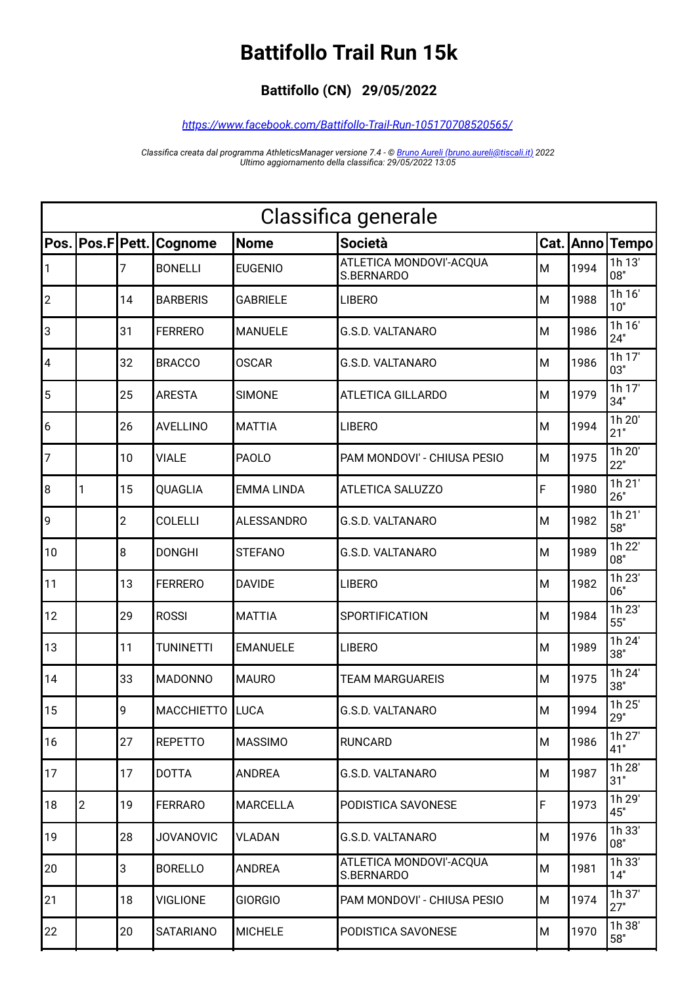## **Battifollo Trail Run 15k**

## **Battifollo (CN) 29/05/2022**

## *<https://www.facebook.com/Battifollo-Trail-Run-105170708520565/>*

*Classifica creata dal programma AthleticsManager versione 7.4 - © [Bruno Aureli \(bruno.aureli@tiscali.it\)](mailto:bruno.aureli@tiscali.it?subject=Richiesta%20informazioni%20su%20programma%20AthleticsManager) 2022 Ultimo aggiornamento della classifica: 29/05/2022 13:05*

| Classifica generale     |                |       |                   |                   |                                       |   |      |                 |
|-------------------------|----------------|-------|-------------------|-------------------|---------------------------------------|---|------|-----------------|
| Pos.                    | Pos.F          | Pett. | Cognome           | <b>Nome</b>       | <b>Società</b>                        |   |      | Cat. Anno Tempo |
| $\mathbf{1}$            |                | 7     | <b>BONELLI</b>    | <b>EUGENIO</b>    | ATLETICA MONDOVI'-ACQUA<br>S.BERNARDO | M | 1994 | 1h 13'<br>08"   |
| $ 2\rangle$             |                | 14    | <b>BARBERIS</b>   | <b>GABRIELE</b>   | <b>LIBERO</b>                         | M | 1988 | 1h 16'<br>10"   |
| 3                       |                | 31    | <b>FERRERO</b>    | <b>MANUELE</b>    | <b>G.S.D. VALTANARO</b>               | M | 1986 | 1h 16'<br>24"   |
| $\overline{\mathbf{4}}$ |                | 32    | <b>BRACCO</b>     | <b>OSCAR</b>      | <b>G.S.D. VALTANARO</b>               | M | 1986 | 1h 17'<br>03"   |
| 5                       |                | 25    | <b>ARESTA</b>     | <b>SIMONE</b>     | <b>ATLETICA GILLARDO</b>              | M | 1979 | 1h 17'<br>34"   |
| $\vert 6 \vert$         |                | 26    | <b>AVELLINO</b>   | <b>MATTIA</b>     | <b>LIBERO</b>                         | M | 1994 | 1h 20'<br>21"   |
| 7                       |                | 10    | <b>VIALE</b>      | <b>PAOLO</b>      | PAM MONDOVI' - CHIUSA PESIO           | M | 1975 | 1h 20'<br>22"   |
| 8                       | 1              | 15    | QUAGLIA           | <b>EMMA LINDA</b> | ATLETICA SALUZZO                      | F | 1980 | 1h 21'<br>26"   |
| 9                       |                | 2     | <b>COLELLI</b>    | <b>ALESSANDRO</b> | G.S.D. VALTANARO                      | M | 1982 | 1h 21'<br>58"   |
| 10                      |                | 8     | <b>DONGHI</b>     | <b>STEFANO</b>    | G.S.D. VALTANARO                      | M | 1989 | 1h 22'<br>08"   |
| 11                      |                | 13    | <b>FERRERO</b>    | <b>DAVIDE</b>     | <b>LIBERO</b>                         | M | 1982 | 1h 23'<br>06"   |
| 12                      |                | 29    | <b>ROSSI</b>      | <b>MATTIA</b>     | <b>SPORTIFICATION</b>                 | M | 1984 | 1h 23'<br>55"   |
| 13                      |                | 11    | <b>TUNINETTI</b>  | <b>EMANUELE</b>   | <b>LIBERO</b>                         | M | 1989 | 1h 24'<br>38"   |
| 14                      |                | 33    | <b>MADONNO</b>    | <b>MAURO</b>      | <b>TEAM MARGUAREIS</b>                | M | 1975 | 1h 24'<br>38"   |
| 15                      |                | 9     | <b>MACCHIETTO</b> | <b>LUCA</b>       | <b>G.S.D. VALTANARO</b>               | M | 1994 | 1h 25'<br>29"   |
| 16                      |                | 27    | <b>REPETTO</b>    | <b>MASSIMO</b>    | <b>RUNCARD</b>                        | M | 1986 | 1h 27'<br>41"   |
| 17                      |                | 17    | <b>DOTTA</b>      | <b>ANDREA</b>     | G.S.D. VALTANARO                      | M | 1987 | 1h 28'<br>31"   |
| 18                      | $\overline{c}$ | 19    | <b>FERRARO</b>    | <b>MARCELLA</b>   | PODISTICA SAVONESE                    | F | 1973 | 1h 29'<br>45"   |
| 19                      |                | 28    | <b>JOVANOVIC</b>  | VLADAN            | <b>G.S.D. VALTANARO</b>               | M | 1976 | 1h 33'<br>08"   |
| 20                      |                | 3     | <b>BORELLO</b>    | <b>ANDREA</b>     | ATLETICA MONDOVI'-ACQUA<br>S.BERNARDO | M | 1981 | 1h 33'<br>14"   |
| 21                      |                | 18    | <b>VIGLIONE</b>   | <b>GIORGIO</b>    | PAM MONDOVI' - CHIUSA PESIO           | M | 1974 | 1h 37'<br>27"   |
| 22                      |                | 20    | <b>SATARIANO</b>  | <b>MICHELE</b>    | PODISTICA SAVONESE                    | M | 1970 | 1h 38'<br>58"   |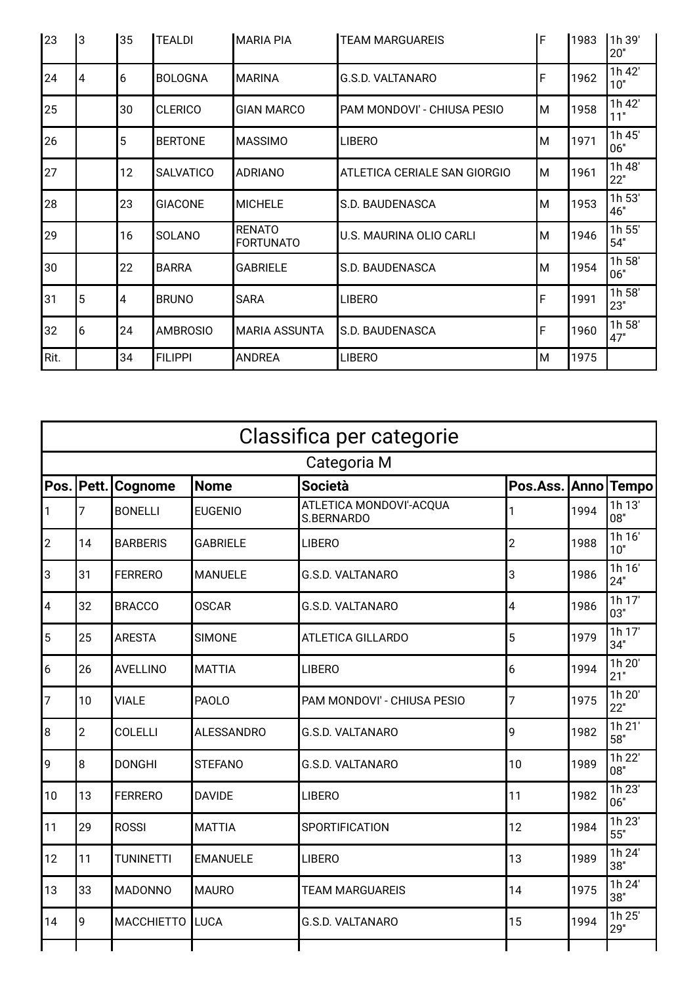| 23   | Iз             | 35 | <b>TEALDI</b>    | <b>MARIA PIA</b>                  | <b>TEAM MARGUAREIS</b>       | F | 1983 | 1h 39'<br>20" |
|------|----------------|----|------------------|-----------------------------------|------------------------------|---|------|---------------|
| 24   | $\overline{4}$ | 6  | <b>BOLOGNA</b>   | <b>MARINA</b>                     | G.S.D. VALTANARO             | F | 1962 | 1h 42'<br>10" |
| 25   |                | 30 | <b>CLERICO</b>   | <b>GIAN MARCO</b>                 | PAM MONDOVI' - CHIUSA PESIO  | M | 1958 | 1h 42'<br>11" |
| 26   |                | 5  | <b>BERTONE</b>   | <b>MASSIMO</b>                    | <b>LIBERO</b>                | М | 1971 | 1h 45'<br>06" |
| 27   |                | 12 | <b>SALVATICO</b> | <b>ADRIANO</b>                    | ATLETICA CERIALE SAN GIORGIO | М | 1961 | 1h 48'<br>22" |
| 28   |                | 23 | <b>GIACONE</b>   | <b>MICHELE</b>                    | S.D. BAUDENASCA              | M | 1953 | 1h 53'<br>46" |
| 29   |                | 16 | SOLANO           | <b>RENATO</b><br><b>FORTUNATO</b> | U.S. MAURINA OLIO CARLI      | М | 1946 | 1h 55'<br>54" |
| 30   |                | 22 | <b>BARRA</b>     | <b>GABRIELE</b>                   | S.D. BAUDENASCA              | M | 1954 | 1h 58'<br>06" |
| 31   | $\overline{5}$ | 4  | <b>BRUNO</b>     | <b>SARA</b>                       | <b>LIBERO</b>                | F | 1991 | 1h 58'<br>23" |
| 32   | 6              | 24 | <b>AMBROSIO</b>  | <b>MARIA ASSUNTA</b>              | S.D. BAUDENASCA              | F | 1960 | 1h 58'<br>47" |
| Rit. |                | 34 | <b>FILIPPI</b>   | <b>ANDREA</b>                     | <b>LIBERO</b>                | M | 1975 |               |

| Classifica per categorie |                |                   |                   |                                       |                |      |               |  |
|--------------------------|----------------|-------------------|-------------------|---------------------------------------|----------------|------|---------------|--|
| Categoria M              |                |                   |                   |                                       |                |      |               |  |
| Pos.                     | Pett.          | Cognome           | <b>Nome</b>       | <b>Società</b>                        | Pos.Ass. Anno  |      | <b>Tempo</b>  |  |
| $\mathbf{1}$             | 7              | <b>BONELLI</b>    | <b>EUGENIO</b>    | ATLETICA MONDOVI'-ACQUA<br>S.BERNARDO | 1              | 1994 | 1h 13'<br>08" |  |
| $\overline{c}$           | 14             | <b>BARBERIS</b>   | <b>GABRIELE</b>   | <b>LIBERO</b>                         | $\overline{2}$ | 1988 | 1h 16'<br>10" |  |
| 3                        | 31             | <b>FERRERO</b>    | <b>MANUELE</b>    | <b>G.S.D. VALTANARO</b>               | 3              | 1986 | 1h 16'<br>24" |  |
| 4                        | 32             | <b>BRACCO</b>     | <b>OSCAR</b>      | <b>G.S.D. VALTANARO</b>               | 4              | 1986 | 1h 17'<br>03" |  |
| 5                        | 25             | <b>ARESTA</b>     | <b>SIMONE</b>     | <b>ATLETICA GILLARDO</b>              | 5              | 1979 | 1h17'<br>34"  |  |
| 6                        | 26             | <b>AVELLINO</b>   | <b>MATTIA</b>     | <b>LIBERO</b>                         | 6              | 1994 | 1h 20'<br>21" |  |
| $\overline{7}$           | 10             | <b>VIALE</b>      | <b>PAOLO</b>      | PAM MONDOVI' - CHIUSA PESIO           | 7              | 1975 | 1h 20'<br>22" |  |
| 8                        | $\overline{2}$ | <b>COLELLI</b>    | <b>ALESSANDRO</b> | <b>G.S.D. VALTANARO</b>               | 9              | 1982 | 1h 21'<br>58" |  |
| 9                        | 8              | <b>DONGHI</b>     | <b>STEFANO</b>    | G.S.D. VALTANARO                      | 10             | 1989 | 1h 22'<br>08" |  |
| 10                       | 13             | <b>FERRERO</b>    | <b>DAVIDE</b>     | <b>LIBERO</b>                         | 11             | 1982 | 1h 23'<br>06" |  |
| 11                       | 29             | <b>ROSSI</b>      | <b>MATTIA</b>     | SPORTIFICATION                        | 12             | 1984 | 1h 23'<br>55" |  |
| 12                       | 11             | <b>TUNINETTI</b>  | <b>EMANUELE</b>   | <b>LIBERO</b>                         | 13             | 1989 | 1h 24'<br>38" |  |
| 13                       | 33             | <b>MADONNO</b>    | <b>MAURO</b>      | <b>TEAM MARGUAREIS</b>                | 14             | 1975 | 1h 24'<br>38" |  |
| 14                       | 9              | <b>MACCHIETTO</b> | LUCA              | G.S.D. VALTANARO                      | 15             | 1994 | 1h 25'<br>29" |  |
|                          |                |                   |                   |                                       |                |      |               |  |